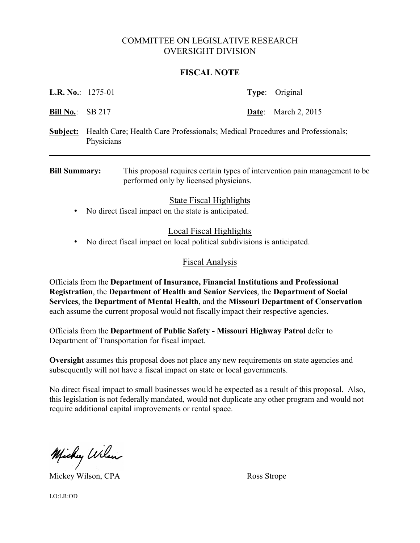# COMMITTEE ON LEGISLATIVE RESEARCH OVERSIGHT DIVISION

#### **FISCAL NOTE**

| <b>L.R. No.:</b> $1275-01$ |                                                                                             | <b>Type:</b> Original      |
|----------------------------|---------------------------------------------------------------------------------------------|----------------------------|
| <b>Bill No.:</b> SB 217    |                                                                                             | <b>Date:</b> March 2, 2015 |
| Subject:                   | Health Care; Health Care Professionals; Medical Procedures and Professionals;<br>Physicians |                            |
|                            |                                                                                             |                            |

**Bill Summary:** This proposal requires certain types of intervention pain management to be performed only by licensed physicians.

# State Fiscal Highlights

• No direct fiscal impact on the state is anticipated.

### Local Fiscal Highlights

• No direct fiscal impact on local political subdivisions is anticipated.

### Fiscal Analysis

Officials from the **Department of Insurance, Financial Institutions and Professional Registration**, the **Department of Health and Senior Services**, the **Department of Social Services**, the **Department of Mental Health**, and the **Missouri Department of Conservation** each assume the current proposal would not fiscally impact their respective agencies.

Officials from the **Department of Public Safety - Missouri Highway Patrol** defer to Department of Transportation for fiscal impact.

**Oversight** assumes this proposal does not place any new requirements on state agencies and subsequently will not have a fiscal impact on state or local governments.

No direct fiscal impact to small businesses would be expected as a result of this proposal. Also, this legislation is not federally mandated, would not duplicate any other program and would not require additional capital improvements or rental space.

Michy Wilson

Mickey Wilson, CPA Ross Strope

LO:LR:OD